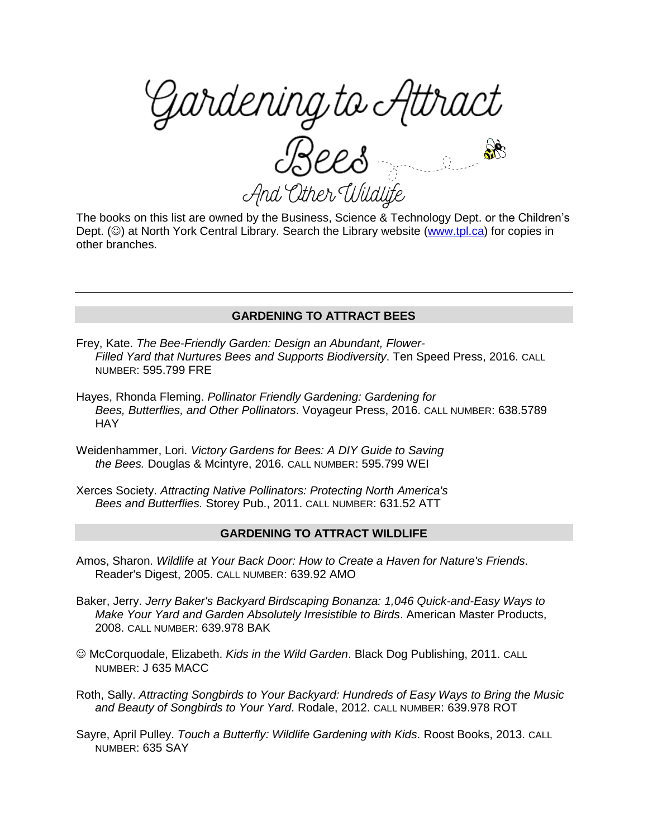<sup>g</sup>ardening to Attract?<br>Bees And Other Wildlife

The books on this list are owned by the Business, Science & Technology Dept. or the Children's Dept.  $(\circledcirc)$  at North York Central Library. Search the Library website [\(www.tpl.ca\)](http://www.tpl.ca/) for copies in other branches.

## **GARDENING TO ATTRACT BEES**

- Frey, Kate. *The Bee-Friendly Garden: Design an Abundant, Flower-Filled Yard that Nurtures Bees and Supports Biodiversity*. Ten Speed Press, 2016. CALL NUMBER: 595.799 FRE
- Hayes, Rhonda Fleming. *Pollinator Friendly Gardening: Gardening for Bees, Butterflies, and Other Pollinators*. Voyageur Press, 2016. CALL NUMBER: 638.5789 **HAY**
- Weidenhammer, Lori. *Victory Gardens for Bees: A DIY Guide to Saving the Bees.* Douglas & Mcintyre, 2016. CALL NUMBER: 595.799 WEI
- Xerces Society. *Attracting Native Pollinators: Protecting North America's Bees and Butterflies.* Storey Pub., 2011. CALL NUMBER: 631.52 ATT

## **GARDENING TO ATTRACT WILDLIFE**

- Amos, Sharon. *Wildlife at Your Back Door: How to Create a Haven for Nature's Friends*. Reader's Digest, 2005. CALL NUMBER: 639.92 AMO
- Baker, Jerry. *Jerry Baker's Backyard Birdscaping Bonanza: 1,046 Quick-and-Easy Ways to Make Your Yard and Garden Absolutely Irresistible to Birds*. American Master Products, 2008. CALL NUMBER: 639.978 BAK
- McCorquodale, Elizabeth. *Kids in the Wild Garden*. Black Dog Publishing, 2011. CALL NUMBER: J 635 MACC
- Roth, Sally. *Attracting Songbirds to Your Backyard: Hundreds of Easy Ways to Bring the Music and Beauty of Songbirds to Your Yard*. Rodale, 2012. CALL NUMBER: 639.978 ROT
- Sayre, April Pulley. *Touch a Butterfly: Wildlife Gardening with Kids*. Roost Books, 2013. CALL NUMBER: 635 SAY